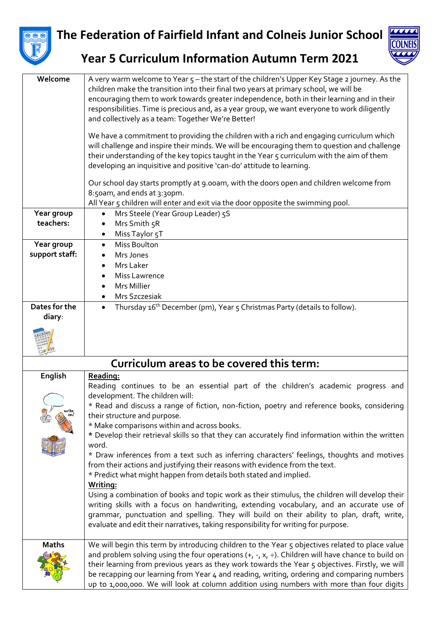

## **The Federation of Fairfield Infant and Colneis Junior School**



## **Year 5 Curriculum Information Autumn Term 2021**

| Welcome                      | A very warm welcome to Year 5 - the start of the children's Upper Key Stage 2 journey. As the<br>children make the transition into their final two years at primary school, we will be<br>encouraging them to work towards greater independence, both in their learning and in their<br>responsibilities. Time is precious and, as a year group, we want everyone to work diligently<br>and collectively as a team: Together We're Better!                                                                                                                                                                                                                                                                                                                                                                                                                                                                                                                                                                                                                                   |
|------------------------------|------------------------------------------------------------------------------------------------------------------------------------------------------------------------------------------------------------------------------------------------------------------------------------------------------------------------------------------------------------------------------------------------------------------------------------------------------------------------------------------------------------------------------------------------------------------------------------------------------------------------------------------------------------------------------------------------------------------------------------------------------------------------------------------------------------------------------------------------------------------------------------------------------------------------------------------------------------------------------------------------------------------------------------------------------------------------------|
|                              | We have a commitment to providing the children with a rich and engaging curriculum which<br>will challenge and inspire their minds. We will be encouraging them to question and challenge<br>their understanding of the key topics taught in the Year 5 curriculum with the aim of them<br>developing an inquisitive and positive 'can-do' attitude to learning.                                                                                                                                                                                                                                                                                                                                                                                                                                                                                                                                                                                                                                                                                                             |
|                              | Our school day starts promptly at 9.00am, with the doors open and children welcome from<br>8:50am, and ends at 3:30pm.<br>All Year 5 children will enter and exit via the door opposite the swimming pool.                                                                                                                                                                                                                                                                                                                                                                                                                                                                                                                                                                                                                                                                                                                                                                                                                                                                   |
| Year group<br>teachers:      | Mrs Steele (Year Group Leader) 5S<br>$\bullet$<br>Mrs Smith 5R<br>$\bullet$<br>Miss Taylor 5T<br>$\bullet$                                                                                                                                                                                                                                                                                                                                                                                                                                                                                                                                                                                                                                                                                                                                                                                                                                                                                                                                                                   |
| Year group<br>support staff: | Miss Boulton<br>$\bullet$<br>Mrs Jones<br>$\bullet$<br>Mrs Laker<br>Miss Lawrence<br>Mrs Millier<br>$\bullet$<br>Mrs Szczesiak<br>$\bullet$                                                                                                                                                                                                                                                                                                                                                                                                                                                                                                                                                                                                                                                                                                                                                                                                                                                                                                                                  |
| Dates for the<br>diary:      | Thursday 16 <sup>th</sup> December (pm), Year 5 Christmas Party (details to follow).<br>$\bullet$                                                                                                                                                                                                                                                                                                                                                                                                                                                                                                                                                                                                                                                                                                                                                                                                                                                                                                                                                                            |
|                              | Curriculum areas to be covered this term:                                                                                                                                                                                                                                                                                                                                                                                                                                                                                                                                                                                                                                                                                                                                                                                                                                                                                                                                                                                                                                    |
| English<br>write,            | Reading:<br>Reading continues to be an essential part of the children's academic progress and<br>development. The children will:<br>* Read and discuss a range of fiction, non-fiction, poetry and reference books, considering<br>their structure and purpose.<br>* Make comparisons within and across books.<br>* Develop their retrieval skills so that they can accurately find information within the written<br>word.<br>* Draw inferences from a text such as inferring characters' feelings, thoughts and motives<br>from their actions and justifying their reasons with evidence from the text.<br>* Predict what might happen from details both stated and implied.<br>Writing:<br>Using a combination of books and topic work as their stimulus, the children will develop their<br>writing skills with a focus on handwriting, extending vocabulary, and an accurate use of<br>grammar, punctuation and spelling. They will build on their ability to plan, draft, write,<br>evaluate and edit their narratives, taking responsibility for writing for purpose. |
| <b>Maths</b>                 | We will begin this term by introducing children to the Year 5 objectives related to place value<br>and problem solving using the four operations $(+, -, x, \div)$ . Children will have chance to build on<br>their learning from previous years as they work towards the Year 5 objectives. Firstly, we will<br>be recapping our learning from Year 4 and reading, writing, ordering and comparing numbers                                                                                                                                                                                                                                                                                                                                                                                                                                                                                                                                                                                                                                                                  |

be recapping our learning from Year 4 and reading, writing, ordering and comparing numbers up to 1,000,000. We will look at column addition using numbers with more than four digits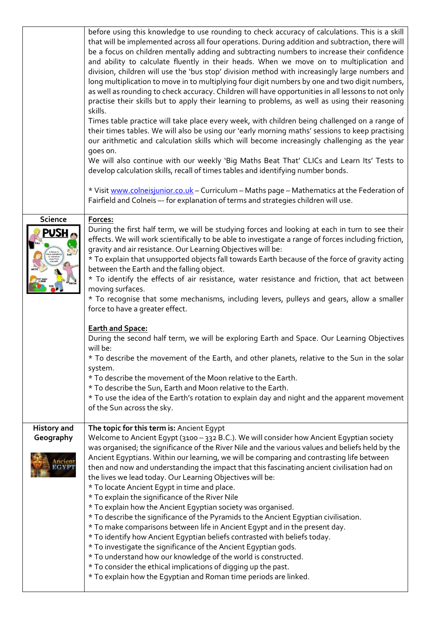|                                 | before using this knowledge to use rounding to check accuracy of calculations. This is a skill<br>that will be implemented across all four operations. During addition and subtraction, there will<br>be a focus on children mentally adding and subtracting numbers to increase their confidence<br>and ability to calculate fluently in their heads. When we move on to multiplication and<br>division, children will use the 'bus stop' division method with increasingly large numbers and<br>long multiplication to move in to multiplying four digit numbers by one and two digit numbers,<br>as well as rounding to check accuracy. Children will have opportunities in all lessons to not only<br>practise their skills but to apply their learning to problems, as well as using their reasoning<br>skills.<br>Times table practice will take place every week, with children being challenged on a range of<br>their times tables. We will also be using our 'early morning maths' sessions to keep practising<br>our arithmetic and calculation skills which will become increasingly challenging as the year<br>goes on.<br>We will also continue with our weekly 'Big Maths Beat That' CLICs and Learn Its' Tests to<br>develop calculation skills, recall of times tables and identifying number bonds.<br>* Visit www.colneisjunior.co.uk - Curriculum - Maths page - Mathematics at the Federation of |
|---------------------------------|-----------------------------------------------------------------------------------------------------------------------------------------------------------------------------------------------------------------------------------------------------------------------------------------------------------------------------------------------------------------------------------------------------------------------------------------------------------------------------------------------------------------------------------------------------------------------------------------------------------------------------------------------------------------------------------------------------------------------------------------------------------------------------------------------------------------------------------------------------------------------------------------------------------------------------------------------------------------------------------------------------------------------------------------------------------------------------------------------------------------------------------------------------------------------------------------------------------------------------------------------------------------------------------------------------------------------------------------------------------------------------------------------------------------------|
|                                 | Fairfield and Colneis -- for explanation of terms and strategies children will use.                                                                                                                                                                                                                                                                                                                                                                                                                                                                                                                                                                                                                                                                                                                                                                                                                                                                                                                                                                                                                                                                                                                                                                                                                                                                                                                                   |
| <b>Science</b><br>PUSH          | Forces:<br>During the first half term, we will be studying forces and looking at each in turn to see their<br>effects. We will work scientifically to be able to investigate a range of forces including friction,<br>gravity and air resistance. Our Learning Objectives will be:<br>* To explain that unsupported objects fall towards Earth because of the force of gravity acting<br>between the Earth and the falling object.<br>* To identify the effects of air resistance, water resistance and friction, that act between<br>moving surfaces.<br>* To recognise that some mechanisms, including levers, pulleys and gears, allow a smaller<br>force to have a greater effect.                                                                                                                                                                                                                                                                                                                                                                                                                                                                                                                                                                                                                                                                                                                                |
|                                 | <b>Earth and Space:</b><br>During the second half term, we will be exploring Earth and Space. Our Learning Objectives<br>will be:<br>* To describe the movement of the Earth, and other planets, relative to the Sun in the solar<br>system.<br>* To describe the movement of the Moon relative to the Earth.<br>* To describe the Sun, Earth and Moon relative to the Earth.<br>* To use the idea of the Earth's rotation to explain day and night and the apparent movement<br>of the Sun across the sky.                                                                                                                                                                                                                                                                                                                                                                                                                                                                                                                                                                                                                                                                                                                                                                                                                                                                                                           |
| <b>History and</b><br>Geography | The topic for this term is: Ancient Egypt<br>Welcome to Ancient Egypt (3100 - 332 B.C.). We will consider how Ancient Egyptian society<br>was organised; the significance of the River Nile and the various values and beliefs held by the<br>Ancient Egyptians. Within our learning, we will be comparing and contrasting life between<br>then and now and understanding the impact that this fascinating ancient civilisation had on<br>the lives we lead today. Our Learning Objectives will be:<br>* To locate Ancient Egypt in time and place.<br>* To explain the significance of the River Nile<br>* To explain how the Ancient Egyptian society was organised.<br>* To describe the significance of the Pyramids to the Ancient Egyptian civilisation.<br>* To make comparisons between life in Ancient Egypt and in the present day.<br>* To identify how Ancient Egyptian beliefs contrasted with beliefs today.<br>* To investigate the significance of the Ancient Egyptian gods.<br>* To understand how our knowledge of the world is constructed.<br>* To consider the ethical implications of digging up the past.<br>* To explain how the Egyptian and Roman time periods are linked.                                                                                                                                                                                                                 |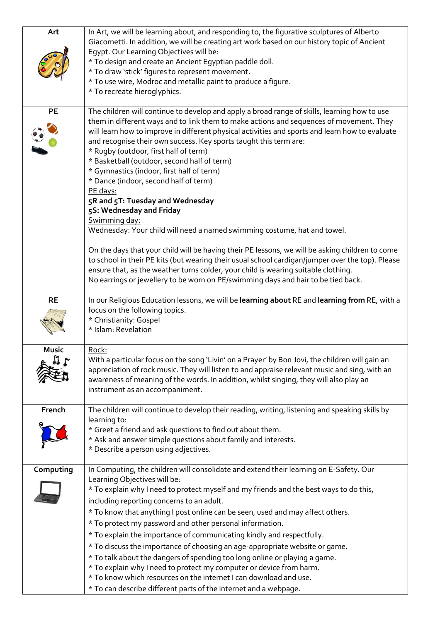| Art          | In Art, we will be learning about, and responding to, the figurative sculptures of Alberto<br>Giacometti. In addition, we will be creating art work based on our history topic of Ancient<br>Eqypt. Our Learning Objectives will be:<br>* To design and create an Ancient Egyptian paddle doll.<br>* To draw 'stick' figures to represent movement.<br>* To use wire, Modroc and metallic paint to produce a figure.<br>* To recreate hieroglyphics.                                                                                                                                                                                                                                                                                                                                                                                                                                                                                                                                                                                                                                                     |
|--------------|----------------------------------------------------------------------------------------------------------------------------------------------------------------------------------------------------------------------------------------------------------------------------------------------------------------------------------------------------------------------------------------------------------------------------------------------------------------------------------------------------------------------------------------------------------------------------------------------------------------------------------------------------------------------------------------------------------------------------------------------------------------------------------------------------------------------------------------------------------------------------------------------------------------------------------------------------------------------------------------------------------------------------------------------------------------------------------------------------------|
| <b>PE</b>    | The children will continue to develop and apply a broad range of skills, learning how to use<br>them in different ways and to link them to make actions and sequences of movement. They<br>will learn how to improve in different physical activities and sports and learn how to evaluate<br>and recognise their own success. Key sports taught this term are:<br>* Rugby (outdoor, first half of term)<br>* Basketball (outdoor, second half of term)<br>* Gymnastics (indoor, first half of term)<br>* Dance (indoor, second half of term)<br>PE days:<br>5R and 5T: Tuesday and Wednesday<br>5S: Wednesday and Friday<br>Swimming day:<br>Wednesday: Your child will need a named swimming costume, hat and towel.<br>On the days that your child will be having their PE lessons, we will be asking children to come<br>to school in their PE kits (but wearing their usual school cardigan/jumper over the top). Please<br>ensure that, as the weather turns colder, your child is wearing suitable clothing.<br>No earrings or jewellery to be worn on PE/swimming days and hair to be tied back. |
| <b>RE</b>    | In our Religious Education lessons, we will be learning about RE and learning from RE, with a<br>focus on the following topics.<br>* Christianity: Gospel<br>* Islam: Revelation                                                                                                                                                                                                                                                                                                                                                                                                                                                                                                                                                                                                                                                                                                                                                                                                                                                                                                                         |
| <b>Music</b> | <u>Rock:</u><br>With a particular focus on the song 'Livin' on a Prayer' by Bon Jovi, the children will gain an<br>appreciation of rock music. They will listen to and appraise relevant music and sing, with an<br>awareness of meaning of the words. In addition, whilst singing, they will also play an<br>instrument as an accompaniment.                                                                                                                                                                                                                                                                                                                                                                                                                                                                                                                                                                                                                                                                                                                                                            |
| French       | The children will continue to develop their reading, writing, listening and speaking skills by<br>learning to:<br>* Greet a friend and ask questions to find out about them.<br>* Ask and answer simple questions about family and interests.<br>* Describe a person using adjectives.                                                                                                                                                                                                                                                                                                                                                                                                                                                                                                                                                                                                                                                                                                                                                                                                                   |
| Computing    | In Computing, the children will consolidate and extend their learning on E-Safety. Our<br>Learning Objectives will be:<br>* To explain why I need to protect myself and my friends and the best ways to do this,<br>including reporting concerns to an adult.<br>* To know that anything I post online can be seen, used and may affect others.<br>* To protect my password and other personal information.<br>* To explain the importance of communicating kindly and respectfully.<br>* To discuss the importance of choosing an age-appropriate website or game.<br>* To talk about the dangers of spending too long online or playing a game.<br>* To explain why I need to protect my computer or device from harm.<br>* To know which resources on the internet I can download and use.<br>* To can describe different parts of the internet and a webpage.                                                                                                                                                                                                                                        |